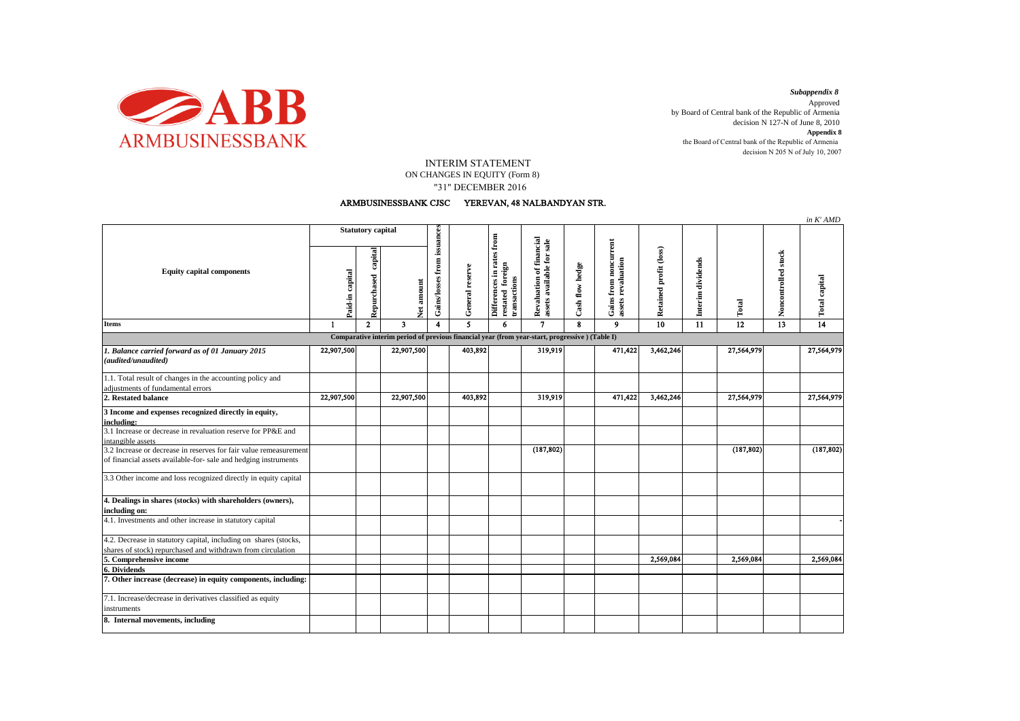

decision N 205 N of July 10, 2007 *Subappendix 8*  Approved by Board of Central bank of the Republic of Armenia decision N 127-N of June 8, 2010 **Appendix 8** the Board of Central bank of the Republic of Armenia

## INTERIM STATEMENT

 "31" DECEMBER 2016 ON CHANGES IN EQUITY (Form 8)

## ARMBUSINESSBANK CJSC YEREVAN, 48 NALBANDYAN STR.

|                                                                                                                                      |                          |                        |                    |                             |                 |                                                               |                                                       |                 |                                                  |                        |                      |            |                     | in K'AMD             |
|--------------------------------------------------------------------------------------------------------------------------------------|--------------------------|------------------------|--------------------|-----------------------------|-----------------|---------------------------------------------------------------|-------------------------------------------------------|-----------------|--------------------------------------------------|------------------------|----------------------|------------|---------------------|----------------------|
| <b>Equity capital components</b>                                                                                                     | <b>Statutory capital</b> |                        |                    |                             |                 |                                                               |                                                       |                 |                                                  |                        |                      |            |                     |                      |
|                                                                                                                                      | Paid-in capital          | capital<br>Repurchased | amount<br><b>Z</b> | Gains/losses from issuances | General reserve | Differences in rates from<br>restated foreign<br>transactions | Revaluation of financial<br>assets available for sale | Cash flow hedge | from noncurrent<br>assets revaluation<br>Gains 1 | Retained profit (loss) | dividends<br>Interim | Total      | Noncontrolled stock | <b>Total capital</b> |
| <b>Items</b>                                                                                                                         | $\mathbf{1}$             | $\overline{2}$         | 3                  | $\overline{\mathbf{A}}$     | 5               | 6                                                             | $\mathbf{7}$                                          | $\mathbf{R}$    | $\mathbf{9}$                                     | 10                     | 11                   | 12         | 13                  | 14                   |
| Comparative interim period of previous financial year (from year-start, progressive) (Table I)                                       |                          |                        |                    |                             |                 |                                                               |                                                       |                 |                                                  |                        |                      |            |                     |                      |
| 1. Balance carried forward as of 01 January 2015<br>(audited/unaudited)                                                              | 22,907,500               |                        | 22,907,500         |                             | 403,892         |                                                               | 319,919                                               |                 | 471,422                                          | 3,462,246              |                      | 27,564,979 |                     | 27,564,979           |
| 1.1. Total result of changes in the accounting policy and<br>adjustments of fundamental errors                                       |                          |                        |                    |                             |                 |                                                               |                                                       |                 |                                                  |                        |                      |            |                     |                      |
| 2. Restated balance                                                                                                                  | 22,907,500               |                        | 22,907,500         |                             | 403,892         |                                                               | 319,919                                               |                 | 471,422                                          | 3,462,246              |                      | 27,564,979 |                     | 27,564,979           |
| 3 Income and expenses recognized directly in equity,<br>including:                                                                   |                          |                        |                    |                             |                 |                                                               |                                                       |                 |                                                  |                        |                      |            |                     |                      |
| 3.1 Increase or decrease in revaluation reserve for PP&E and<br>intangible assets                                                    |                          |                        |                    |                             |                 |                                                               |                                                       |                 |                                                  |                        |                      |            |                     |                      |
| 3.2 Increase or decrease in reserves for fair value remeasurement<br>of financial assets available-for- sale and hedging instruments |                          |                        |                    |                             |                 |                                                               | (187, 802)                                            |                 |                                                  |                        |                      | (187, 802) |                     | (187, 802)           |
| 3.3 Other income and loss recognized directly in equity capital                                                                      |                          |                        |                    |                             |                 |                                                               |                                                       |                 |                                                  |                        |                      |            |                     |                      |
| 4. Dealings in shares (stocks) with shareholders (owners),<br>including on:                                                          |                          |                        |                    |                             |                 |                                                               |                                                       |                 |                                                  |                        |                      |            |                     |                      |
| 4.1. Investments and other increase in statutory capital                                                                             |                          |                        |                    |                             |                 |                                                               |                                                       |                 |                                                  |                        |                      |            |                     |                      |
| 4.2. Decrease in statutory capital, including on shares (stocks,<br>shares of stock) repurchased and withdrawn from circulation      |                          |                        |                    |                             |                 |                                                               |                                                       |                 |                                                  |                        |                      |            |                     |                      |
| 5. Comprehensive income                                                                                                              |                          |                        |                    |                             |                 |                                                               |                                                       |                 |                                                  | 2,569,084              |                      | 2,569,084  |                     | 2,569,084            |
| 6. Dividends<br>7. Other increase (decrease) in equity components, including:                                                        |                          |                        |                    |                             |                 |                                                               |                                                       |                 |                                                  |                        |                      |            |                     |                      |
|                                                                                                                                      |                          |                        |                    |                             |                 |                                                               |                                                       |                 |                                                  |                        |                      |            |                     |                      |
| 7.1. Increase/decrease in derivatives classified as equity<br>instruments                                                            |                          |                        |                    |                             |                 |                                                               |                                                       |                 |                                                  |                        |                      |            |                     |                      |
| 8. Internal movements, including                                                                                                     |                          |                        |                    |                             |                 |                                                               |                                                       |                 |                                                  |                        |                      |            |                     |                      |